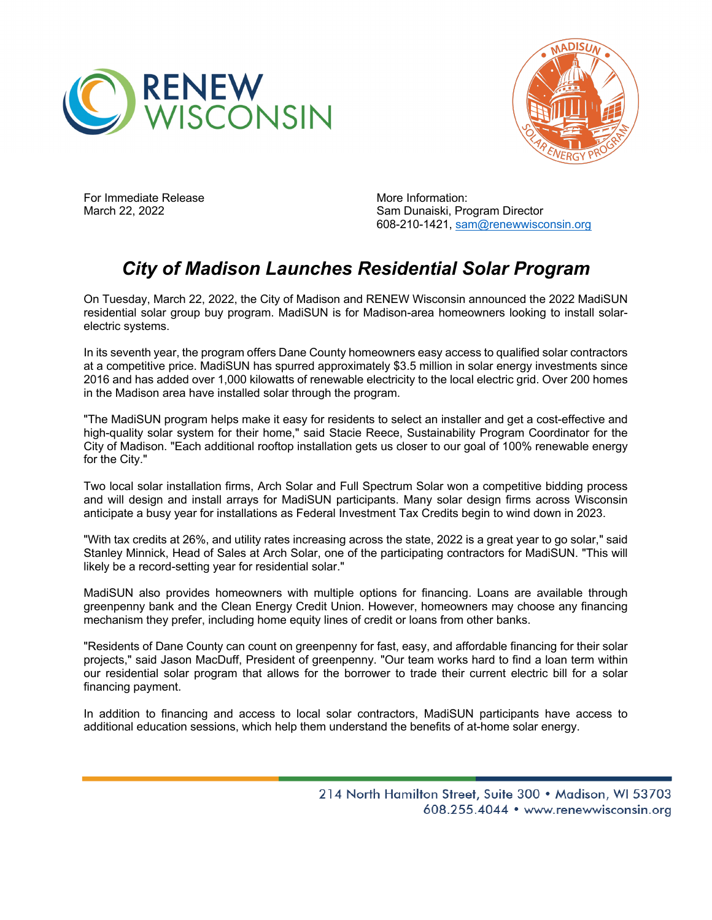



For Immediate Release March 22, 2022

More Information: Sam Dunaiski, Program Director 608-210-1421, sam@renewwisconsin.org

## *City of Madison Launches Residential Solar Program*

On Tuesday, March 22, 2022, the City of Madison and RENEW Wisconsin announced the 2022 MadiSUN residential solar group buy program. MadiSUN is for Madison-area homeowners looking to install solarelectric systems.

In its seventh year, the program offers Dane County homeowners easy access to qualified solar contractors at a competitive price. MadiSUN has spurred approximately \$3.5 million in solar energy investments since 2016 and has added over 1,000 kilowatts of renewable electricity to the local electric grid. Over 200 homes in the Madison area have installed solar through the program.

"The MadiSUN program helps make it easy for residents to select an installer and get a cost-effective and high-quality solar system for their home," said Stacie Reece, Sustainability Program Coordinator for the City of Madison. "Each additional rooftop installation gets us closer to our goal of 100% renewable energy for the City."

Two local solar installation firms, Arch Solar and Full Spectrum Solar won a competitive bidding process and will design and install arrays for MadiSUN participants. Many solar design firms across Wisconsin anticipate a busy year for installations as Federal Investment Tax Credits begin to wind down in 2023.

"With tax credits at 26%, and utility rates increasing across the state, 2022 is a great year to go solar," said Stanley Minnick, Head of Sales at Arch Solar, one of the participating contractors for MadiSUN. "This will likely be a record-setting year for residential solar."

MadiSUN also provides homeowners with multiple options for financing. Loans are available through greenpenny bank and the Clean Energy Credit Union. However, homeowners may choose any financing mechanism they prefer, including home equity lines of credit or loans from other banks.

"Residents of Dane County can count on greenpenny for fast, easy, and affordable financing for their solar projects," said Jason MacDuff, President of greenpenny. "Our team works hard to find a loan term within our residential solar program that allows for the borrower to trade their current electric bill for a solar financing payment.

In addition to financing and access to local solar contractors, MadiSUN participants have access to additional education sessions, which help them understand the benefits of at-home solar energy.